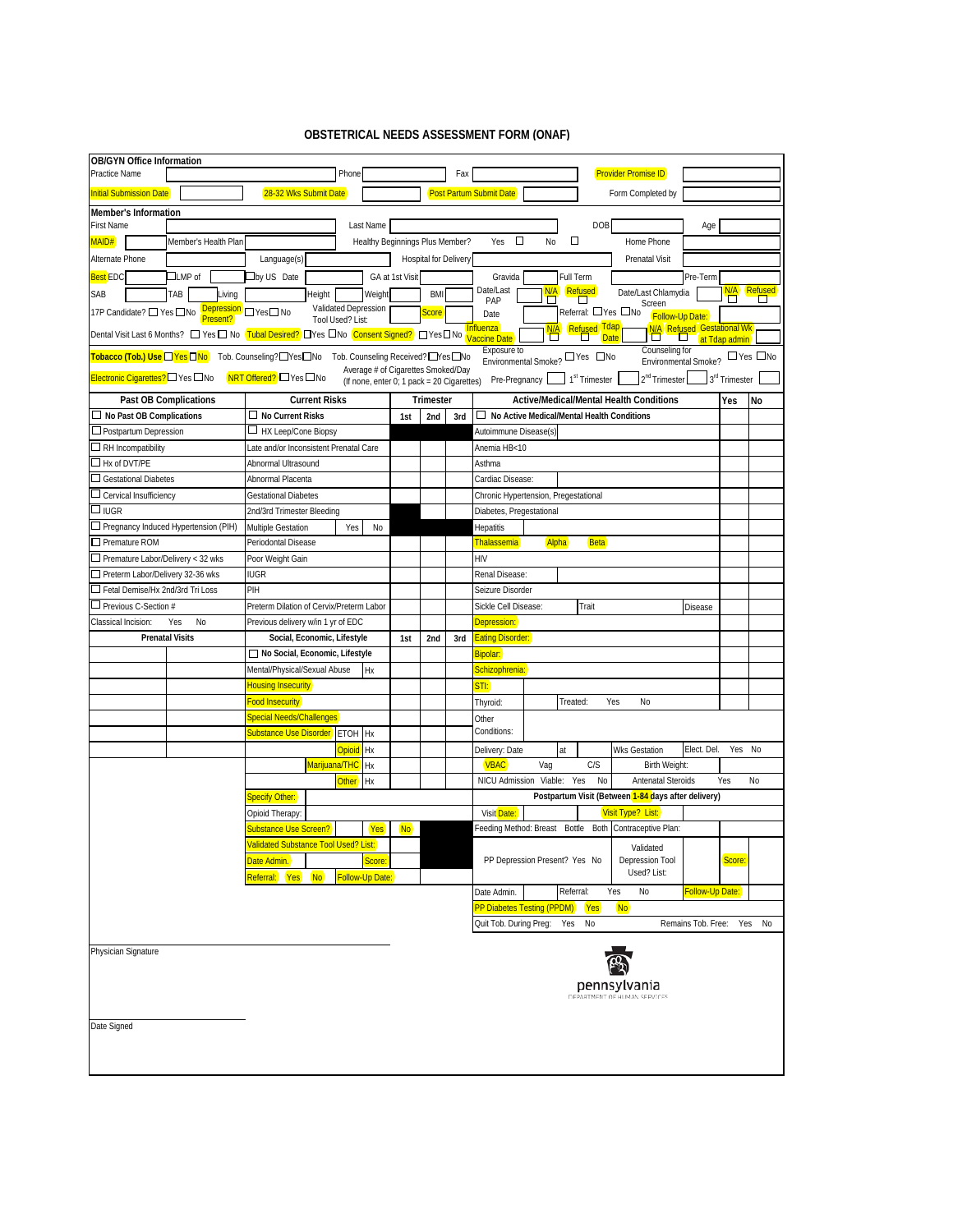## **OBSTETRICAL NEEDS ASSESSMENT FORM (ONAF)**

| <b>OB/GYN Office Information</b>                                                                                                                                                                                                                                                                                                |                                                                                         |                                                                   |                      |                                                                                  |                                 |                       |                                                   |                                                                  |                                                        |                    |                                                              |                    |                           |           |
|---------------------------------------------------------------------------------------------------------------------------------------------------------------------------------------------------------------------------------------------------------------------------------------------------------------------------------|-----------------------------------------------------------------------------------------|-------------------------------------------------------------------|----------------------|----------------------------------------------------------------------------------|---------------------------------|-----------------------|---------------------------------------------------|------------------------------------------------------------------|--------------------------------------------------------|--------------------|--------------------------------------------------------------|--------------------|---------------------------|-----------|
| Practice Name                                                                                                                                                                                                                                                                                                                   |                                                                                         |                                                                   |                      | Phone                                                                            |                                 |                       | Fax                                               |                                                                  |                                                        |                    | <b>Provider Promise ID</b>                                   |                    |                           |           |
| <b>Initial Submission Date</b>                                                                                                                                                                                                                                                                                                  |                                                                                         | 28-32 Wks Submit Date                                             |                      |                                                                                  |                                 |                       |                                                   | <b>Post Partum Submit Date</b>                                   |                                                        |                    | Form Completed by                                            |                    |                           |           |
| Member's Information                                                                                                                                                                                                                                                                                                            |                                                                                         |                                                                   |                      |                                                                                  |                                 |                       |                                                   |                                                                  |                                                        |                    |                                                              |                    |                           |           |
| <b>First Name</b>                                                                                                                                                                                                                                                                                                               |                                                                                         |                                                                   |                      | Last Name                                                                        |                                 |                       |                                                   |                                                                  |                                                        | DOB                |                                                              | Age                |                           |           |
| MAID#                                                                                                                                                                                                                                                                                                                           | Member's Health Plan                                                                    |                                                                   |                      |                                                                                  | Healthy Beginnings Plus Member? |                       |                                                   | О<br>Yes                                                         | П<br>N <sub>o</sub>                                    |                    | Home Phone                                                   |                    |                           |           |
| Alternate Phone                                                                                                                                                                                                                                                                                                                 |                                                                                         | Language(s)                                                       |                      |                                                                                  |                                 | Hospital for Delivery |                                                   |                                                                  |                                                        |                    | <b>Prenatal Visit</b>                                        |                    |                           |           |
| <b>Best EDC</b>                                                                                                                                                                                                                                                                                                                 | $\Box$ LMP of                                                                           | $\square$ by US Date                                              |                      |                                                                                  | GA at 1st Visit                 |                       |                                                   | Gravida<br>Date/Last                                             | Full Term                                              |                    |                                                              | Pre-Term           |                           |           |
| SAB                                                                                                                                                                                                                                                                                                                             | TAB<br>Living                                                                           |                                                                   | Height               | Weight                                                                           |                                 | <b>BMI</b>            |                                                   | Refused<br>N/A<br>Date/Last Chlamydia<br>П<br>PAP<br>О<br>Screen |                                                        |                    |                                                              |                    |                           |           |
| 17P Candidate? □ Yes □ No                                                                                                                                                                                                                                                                                                       | Present?                                                                                | Depression PYes <sup>nNo</sup>                                    | Tool Used? List:     | Validated Depression                                                             |                                 | Score                 |                                                   | Date                                                             |                                                        | Referral: □Yes □No | <b>Follow-Up Date:</b>                                       |                    |                           |           |
| <b>Refused Tdap</b><br><b>N/A</b> Refused Gestational Wk<br>$\Box$ <b>C</b> at Tdap admin<br><b>Influenza</b><br> <br> Dental Visit Last 6 Months? $\Box$ Yes $\Box$ No <mark>Tubal Desired?</mark> $\Box$ Yes $\Box$ No <mark>Consent Signed?</mark> ) $\Box$ Yes $\Box$ No <mark>Vaccine Date</mark><br>◘<br><b>Date</b><br>◻ |                                                                                         |                                                                   |                      |                                                                                  |                                 |                       |                                                   |                                                                  |                                                        |                    |                                                              |                    |                           |           |
|                                                                                                                                                                                                                                                                                                                                 | Tobacco (Tob.) Use QYes QNo Tob. Counseling?QYes QNo Tob. Counseling Received? QYes QNo |                                                                   |                      |                                                                                  |                                 |                       |                                                   | Exposure to                                                      | Environmental Smoke? DYes DNo                          |                    | Counseling for<br>Environmental Smoke? <sup>1</sup> PYes DNo |                    |                           |           |
| Electronic Cigarettes? DYes DNo                                                                                                                                                                                                                                                                                                 |                                                                                         | NRT Offered? □ Yes □ No                                           |                      | Average # of Cigarettes Smoked/Day<br>(If none, enter 0; 1 pack = 20 Cigarettes) |                                 |                       |                                                   | Pre-Pregnancy                                                    | $1st$ Trimester                                        |                    | 2 <sup>nd</sup> Trimester                                    |                    | 3 <sup>rd</sup> Trimester |           |
|                                                                                                                                                                                                                                                                                                                                 | Past OB Complications                                                                   |                                                                   | <b>Current Risks</b> |                                                                                  |                                 | <b>Trimester</b>      |                                                   |                                                                  | Active/Medical/Mental Health Conditions                |                    |                                                              |                    | Yes                       | <b>No</b> |
| $\Box$ No Past OB Complications                                                                                                                                                                                                                                                                                                 |                                                                                         | $\Box$ No Current Risks                                           |                      | 1st                                                                              | 2nd                             | 3rd                   | $\Box$ No Active Medical/Mental Health Conditions |                                                                  |                                                        |                    |                                                              |                    |                           |           |
| $\Box$ Postpartum Depression                                                                                                                                                                                                                                                                                                    |                                                                                         | □ HX Leep/Cone Biopsy                                             |                      |                                                                                  |                                 |                       |                                                   | Autoimmune Disease(s)                                            |                                                        |                    |                                                              |                    |                           |           |
| $\Box$ RH Incompatibility                                                                                                                                                                                                                                                                                                       |                                                                                         | Late and/or Inconsistent Prenatal Care                            |                      |                                                                                  |                                 |                       |                                                   | Anemia HB<10                                                     |                                                        |                    |                                                              |                    |                           |           |
| $\Box$ Hx of DVT/PE                                                                                                                                                                                                                                                                                                             |                                                                                         | Abnormal Ultrasound                                               |                      |                                                                                  |                                 |                       |                                                   | Asthma                                                           |                                                        |                    |                                                              |                    |                           |           |
| $\Box$ Gestational Diabetes                                                                                                                                                                                                                                                                                                     |                                                                                         | Abnormal Placenta                                                 |                      |                                                                                  |                                 |                       |                                                   | Cardiac Disease:                                                 |                                                        |                    |                                                              |                    |                           |           |
| $\Box$ Cervical Insufficiency                                                                                                                                                                                                                                                                                                   |                                                                                         | <b>Gestational Diabetes</b>                                       |                      |                                                                                  |                                 |                       |                                                   | Chronic Hypertension, Pregestational                             |                                                        |                    |                                                              |                    |                           |           |
| $\Box$ IUGR                                                                                                                                                                                                                                                                                                                     |                                                                                         | 2nd/3rd Trimester Bleeding                                        |                      |                                                                                  |                                 |                       |                                                   | Diabetes, Pregestational                                         |                                                        |                    |                                                              |                    |                           |           |
| Pregnancy Induced Hypertension (PIH)                                                                                                                                                                                                                                                                                            |                                                                                         | Multiple Gestation                                                |                      | Yes<br>No                                                                        |                                 |                       |                                                   | Hepatitis                                                        |                                                        |                    |                                                              |                    |                           |           |
| $\Box$ Premature ROM                                                                                                                                                                                                                                                                                                            |                                                                                         | Periodontal Disease                                               |                      |                                                                                  |                                 |                       |                                                   | <b>Thalassemia</b>                                               | Alpha                                                  | <b>Beta</b>        |                                                              |                    |                           |           |
| $\Box$ Premature Labor/Delivery < 32 wks                                                                                                                                                                                                                                                                                        |                                                                                         | Poor Weight Gain                                                  |                      |                                                                                  |                                 |                       |                                                   | HIV                                                              |                                                        |                    |                                                              |                    |                           |           |
| Preterm Labor/Delivery 32-36 wks<br>□ Fetal Demise/Hx 2nd/3rd Tri Loss                                                                                                                                                                                                                                                          |                                                                                         | <b>IUGR</b><br>PIH                                                |                      |                                                                                  |                                 |                       |                                                   | Renal Disease:                                                   |                                                        |                    |                                                              |                    |                           |           |
| $\Box$ Previous C-Section #                                                                                                                                                                                                                                                                                                     |                                                                                         |                                                                   |                      |                                                                                  |                                 |                       |                                                   | Seizure Disorder<br>Trait<br>Sickle Cell Disease:<br>Disease     |                                                        |                    |                                                              |                    |                           |           |
| Classical Incision:                                                                                                                                                                                                                                                                                                             | No<br>Yes                                                                               | Preterm Dilation of Cervix/Preterm Labor                          |                      |                                                                                  |                                 |                       |                                                   | Depression:                                                      |                                                        |                    |                                                              |                    |                           |           |
|                                                                                                                                                                                                                                                                                                                                 | <b>Prenatal Visits</b>                                                                  | Previous delivery w/in 1 yr of EDC<br>Social, Economic, Lifestyle |                      |                                                                                  | 1st                             | 2nd                   | 3rd                                               | <b>Eating Disorder:</b>                                          |                                                        |                    |                                                              |                    |                           |           |
|                                                                                                                                                                                                                                                                                                                                 |                                                                                         | □ No Social, Economic, Lifestyle                                  |                      |                                                                                  |                                 |                       |                                                   | <b>Bipolar:</b>                                                  |                                                        |                    |                                                              |                    |                           |           |
|                                                                                                                                                                                                                                                                                                                                 |                                                                                         | Mental/Physical/Sexual Abuse                                      |                      | Hx                                                                               |                                 |                       |                                                   | Schizophrenia:                                                   |                                                        |                    |                                                              |                    |                           |           |
|                                                                                                                                                                                                                                                                                                                                 |                                                                                         | <b>Housing Insecurity</b>                                         |                      |                                                                                  |                                 |                       |                                                   | STI:                                                             |                                                        |                    |                                                              |                    |                           |           |
|                                                                                                                                                                                                                                                                                                                                 |                                                                                         | ood Insecurity                                                    |                      |                                                                                  |                                 |                       |                                                   | Thyroid:                                                         | Treated:                                               | Yes                | <b>No</b>                                                    |                    |                           |           |
|                                                                                                                                                                                                                                                                                                                                 |                                                                                         | <b>Special Needs/Challenges</b>                                   |                      |                                                                                  |                                 |                       |                                                   | Other                                                            |                                                        |                    |                                                              |                    |                           |           |
|                                                                                                                                                                                                                                                                                                                                 |                                                                                         | Substance Use Disorder                                            |                      | ETOH Hx                                                                          |                                 |                       |                                                   | Conditions:                                                      |                                                        |                    |                                                              |                    |                           |           |
|                                                                                                                                                                                                                                                                                                                                 |                                                                                         |                                                                   |                      | <b>Opioid</b><br>Hx                                                              |                                 |                       |                                                   | Delivery: Date                                                   | at                                                     |                    | <b>Wks Gestation</b>                                         | Elect. Del.        | Yes No                    |           |
|                                                                                                                                                                                                                                                                                                                                 |                                                                                         |                                                                   | Marijuana/THC        | Hx                                                                               |                                 |                       |                                                   | <b>VBAC</b>                                                      | Vag                                                    | C/S                | Birth Weight:                                                |                    |                           |           |
|                                                                                                                                                                                                                                                                                                                                 |                                                                                         |                                                                   |                      | <b>Other</b><br>Hx                                                               |                                 |                       |                                                   | NICU Admission                                                   | Viable:<br>Yes                                         | No                 | <b>Antenatal Steroids</b>                                    |                    | Yes                       | No        |
|                                                                                                                                                                                                                                                                                                                                 |                                                                                         | Specify Other:                                                    |                      |                                                                                  |                                 |                       |                                                   |                                                                  | Postpartum Visit (Between 1-84 days after delivery)    |                    |                                                              |                    |                           |           |
|                                                                                                                                                                                                                                                                                                                                 |                                                                                         | Opioid Therapy:                                                   |                      |                                                                                  |                                 |                       |                                                   | Visit Date:                                                      |                                                        |                    | Visit Type? List:                                            |                    |                           |           |
|                                                                                                                                                                                                                                                                                                                                 |                                                                                         | Substance Use Screen?                                             |                      | <b>Yes</b>                                                                       | <b>No</b>                       |                       |                                                   |                                                                  | Feeding Method: Breast Bottle Both Contraceptive Plan: |                    |                                                              |                    |                           |           |
|                                                                                                                                                                                                                                                                                                                                 |                                                                                         | <b>Jalidated Substance Tool Used? List:</b><br>Date Admin.        |                      |                                                                                  |                                 |                       |                                                   |                                                                  | PP Depression Present? Yes No                          |                    | Validated<br>Depression Tool                                 |                    | Score:                    |           |
|                                                                                                                                                                                                                                                                                                                                 |                                                                                         | <b>Referral:</b> Yes                                              | <b>No</b>            | Score:<br>Follow-Up Date:                                                        |                                 |                       |                                                   |                                                                  |                                                        |                    | Used? List:                                                  |                    |                           |           |
|                                                                                                                                                                                                                                                                                                                                 |                                                                                         |                                                                   |                      |                                                                                  |                                 |                       |                                                   | Date Admin.                                                      | Referral:                                              | Yes                | No                                                           | Follow-Up Date:    |                           |           |
|                                                                                                                                                                                                                                                                                                                                 |                                                                                         |                                                                   |                      |                                                                                  |                                 |                       |                                                   |                                                                  | <b>PP Diabetes Testing (PPDM)</b>                      | Yes<br><b>No</b>   |                                                              |                    |                           |           |
|                                                                                                                                                                                                                                                                                                                                 |                                                                                         |                                                                   |                      |                                                                                  |                                 |                       |                                                   | Quit Tob. During Preg:                                           | Yes<br>No                                              |                    |                                                              | Remains Tob. Free: | Yes                       | No        |
|                                                                                                                                                                                                                                                                                                                                 |                                                                                         |                                                                   |                      |                                                                                  |                                 |                       |                                                   |                                                                  |                                                        |                    |                                                              |                    |                           |           |
| Physician Signature                                                                                                                                                                                                                                                                                                             |                                                                                         |                                                                   |                      |                                                                                  |                                 |                       |                                                   |                                                                  |                                                        |                    |                                                              |                    |                           |           |
|                                                                                                                                                                                                                                                                                                                                 |                                                                                         |                                                                   |                      |                                                                                  |                                 |                       |                                                   |                                                                  |                                                        |                    |                                                              |                    |                           |           |
|                                                                                                                                                                                                                                                                                                                                 |                                                                                         |                                                                   |                      |                                                                                  |                                 |                       |                                                   | pennsylvania<br>DEPARTMENT OF HUMAN SERVICES                     |                                                        |                    |                                                              |                    |                           |           |
|                                                                                                                                                                                                                                                                                                                                 |                                                                                         |                                                                   |                      |                                                                                  |                                 |                       |                                                   |                                                                  |                                                        |                    |                                                              |                    |                           |           |
| Date Signed                                                                                                                                                                                                                                                                                                                     |                                                                                         |                                                                   |                      |                                                                                  |                                 |                       |                                                   |                                                                  |                                                        |                    |                                                              |                    |                           |           |
|                                                                                                                                                                                                                                                                                                                                 |                                                                                         |                                                                   |                      |                                                                                  |                                 |                       |                                                   |                                                                  |                                                        |                    |                                                              |                    |                           |           |
|                                                                                                                                                                                                                                                                                                                                 |                                                                                         |                                                                   |                      |                                                                                  |                                 |                       |                                                   |                                                                  |                                                        |                    |                                                              |                    |                           |           |
|                                                                                                                                                                                                                                                                                                                                 |                                                                                         |                                                                   |                      |                                                                                  |                                 |                       |                                                   |                                                                  |                                                        |                    |                                                              |                    |                           |           |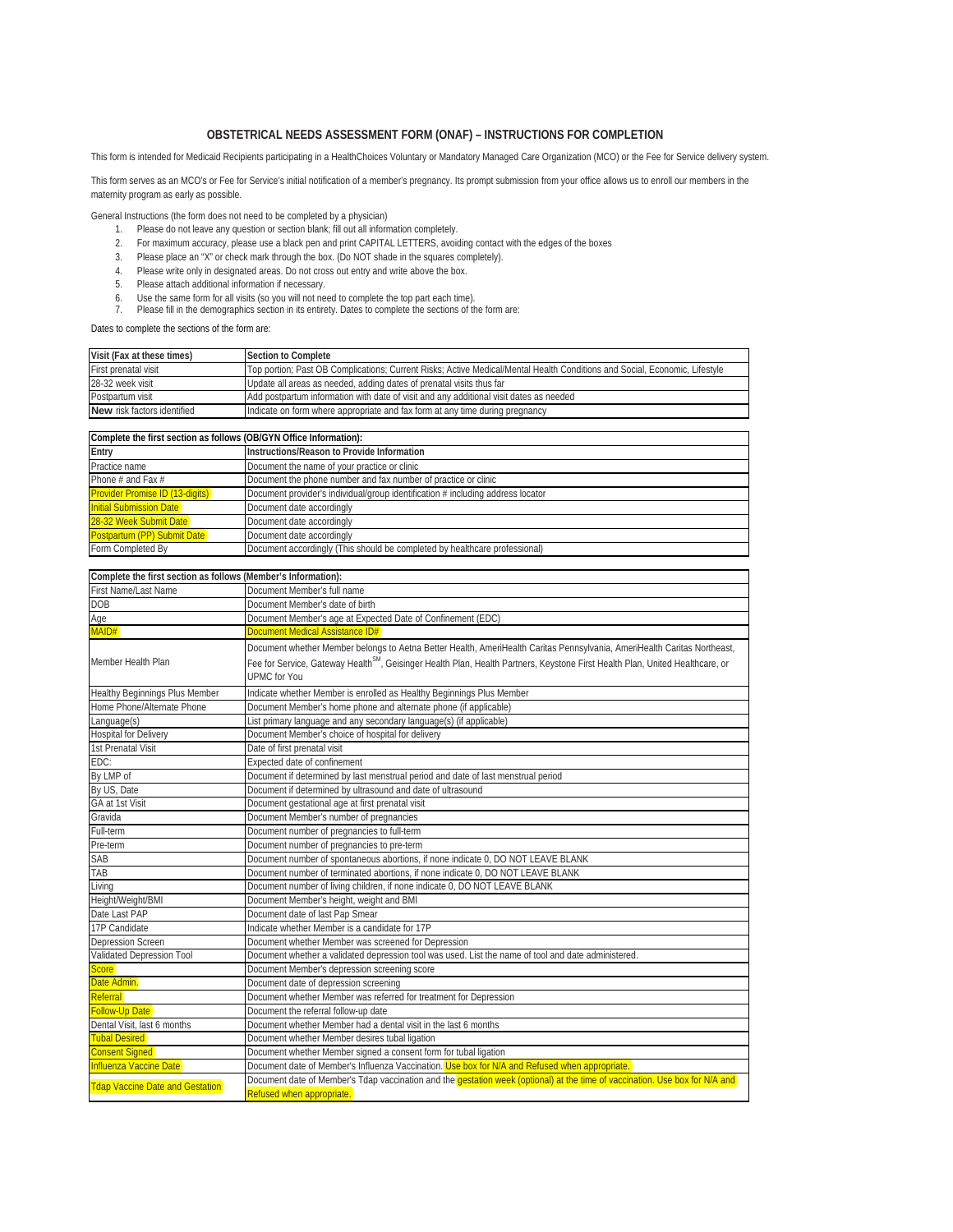## **OBSTETRICAL NEEDS ASSESSMENT FORM (ONAF) – INSTRUCTIONS FOR COMPLETION**

This form is intended for Medicaid Recipients participating in a HealthChoices Voluntary or Mandatory Managed Care Organization (MCO) or the Fee for Service delivery system.

This form serves as an MCO's or Fee for Service's initial notification of a member's pregnancy. Its prompt submission from your office allows us to enroll our members in the maternity program as early as possible.

General Instructions (the form does not need to be completed by a physician)

- 1. Please do not leave any question or section blank; fill out all information completely.
- 2. For maximum accuracy, please use a black pen and print CAPITAL LETTERS, avoiding contact with the edges of the boxes
- 3. Please place an "X" or check mark through the box. (Do NOT shade in the squares completely).
- 4. Please write only in designated areas. Do not cross out entry and write above the box.
- 5. Please attach additional information if necessary.
- 
- 6. Use the same form for all visits (so you will not need to complete the top part each time). 7. Please fill in the demographics section in its entirety. Dates to complete the sections of the form are:

## Dates to complete the sections of the form are:

| Visit (Fax at these times)  | Section to Complete                                                                                                        |
|-----------------------------|----------------------------------------------------------------------------------------------------------------------------|
| First prenatal visit        | Top portion; Past OB Complications; Current Risks; Active Medical/Mental Health Conditions and Social, Economic, Lifestyle |
| 28-32 week visit            | Update all areas as needed, adding dates of prenatal visits thus far                                                       |
| Postpartum visit            | Add postpartum information with date of visit and any additional visit dates as needed                                     |
| New risk factors identified | Indicate on form where appropriate and fax form at any time during pregnancy                                               |
|                             |                                                                                                                            |

| Complete the first section as follows (OB/GYN Office Information): |                                                                                 |  |  |  |
|--------------------------------------------------------------------|---------------------------------------------------------------------------------|--|--|--|
| Entry                                                              | Instructions/Reason to Provide Information                                      |  |  |  |
| Practice name                                                      | Document the name of your practice or clinic                                    |  |  |  |
| Phone # and Fax $#$                                                | Document the phone number and fax number of practice or clinic                  |  |  |  |
| <b>Provider Promise ID (13-digits)</b>                             | Document provider's individual/group identification # including address locator |  |  |  |
| <b>Initial Submission Date</b>                                     | Document date accordingly                                                       |  |  |  |
| 28-32 Week Submit Date                                             | Document date accordingly                                                       |  |  |  |
| Postpartum (PP) Submit Date                                        | Document date accordingly                                                       |  |  |  |
| Form Completed By                                                  | Document accordingly (This should be completed by healthcare professional)      |  |  |  |

| Complete the first section as follows (Member's Information): |                                                                                                                                           |  |  |  |  |  |
|---------------------------------------------------------------|-------------------------------------------------------------------------------------------------------------------------------------------|--|--|--|--|--|
| First Name/Last Name                                          | Document Member's full name                                                                                                               |  |  |  |  |  |
| <b>DOB</b>                                                    | Document Member's date of birth                                                                                                           |  |  |  |  |  |
| Age                                                           | Document Member's age at Expected Date of Confinement (EDC)                                                                               |  |  |  |  |  |
| MAID#                                                         | Document Medical Assistance ID#                                                                                                           |  |  |  |  |  |
|                                                               | Document whether Member belongs to Aetna Better Health, AmeriHealth Caritas Pennsylvania, AmeriHealth Caritas Northeast,                  |  |  |  |  |  |
| Member Health Plan                                            | Fee for Service, Gateway Health <sup>SM</sup> , Geisinger Health Plan, Health Partners, Keystone First Health Plan, United Healthcare, or |  |  |  |  |  |
|                                                               | <b>UPMC</b> for You                                                                                                                       |  |  |  |  |  |
| Healthy Beginnings Plus Member                                | Indicate whether Member is enrolled as Healthy Beginnings Plus Member                                                                     |  |  |  |  |  |
| Home Phone/Alternate Phone                                    | Document Member's home phone and alternate phone (if applicable)                                                                          |  |  |  |  |  |
| Language(s)                                                   | List primary language and any secondary language(s) (if applicable)                                                                       |  |  |  |  |  |
| <b>Hospital for Delivery</b>                                  | Document Member's choice of hospital for delivery                                                                                         |  |  |  |  |  |
| 1st Prenatal Visit                                            | Date of first prenatal visit                                                                                                              |  |  |  |  |  |
| EDC:                                                          | Expected date of confinement                                                                                                              |  |  |  |  |  |
| By LMP of                                                     | Document if determined by last menstrual period and date of last menstrual period                                                         |  |  |  |  |  |
| By US, Date                                                   | Document if determined by ultrasound and date of ultrasound                                                                               |  |  |  |  |  |
| GA at 1st Visit                                               | Document gestational age at first prenatal visit                                                                                          |  |  |  |  |  |
| Gravida                                                       | Document Member's number of pregnancies                                                                                                   |  |  |  |  |  |
| Full-term                                                     | Document number of pregnancies to full-term                                                                                               |  |  |  |  |  |
| Pre-term                                                      | Document number of pregnancies to pre-term                                                                                                |  |  |  |  |  |
| SAB                                                           | Document number of spontaneous abortions, if none indicate 0, DO NOT LEAVE BLANK                                                          |  |  |  |  |  |
| TAB                                                           | Document number of terminated abortions, if none indicate 0, DO NOT LEAVE BLANK                                                           |  |  |  |  |  |
| Living                                                        | Document number of living children, if none indicate 0, DO NOT LEAVE BLANK                                                                |  |  |  |  |  |
| Height/Weight/BMI                                             | Document Member's height, weight and BMI                                                                                                  |  |  |  |  |  |
| Date Last PAP                                                 | Document date of last Pap Smear                                                                                                           |  |  |  |  |  |
| 17P Candidate                                                 | Indicate whether Member is a candidate for 17P                                                                                            |  |  |  |  |  |
| <b>Depression Screen</b>                                      | Document whether Member was screened for Depression                                                                                       |  |  |  |  |  |
| Validated Depression Tool                                     | Document whether a validated depression tool was used. List the name of tool and date administered.                                       |  |  |  |  |  |
| <b>Score</b>                                                  | Document Member's depression screening score                                                                                              |  |  |  |  |  |
| Date Admin.                                                   | Document date of depression screening                                                                                                     |  |  |  |  |  |
| Referral                                                      | Document whether Member was referred for treatment for Depression                                                                         |  |  |  |  |  |
| <b>Follow-Up Date</b>                                         | Document the referral follow-up date                                                                                                      |  |  |  |  |  |
| Dental Visit, last 6 months                                   | Document whether Member had a dental visit in the last 6 months                                                                           |  |  |  |  |  |
| <b>Tubal Desired</b>                                          | Document whether Member desires tubal ligation                                                                                            |  |  |  |  |  |
| <b>Consent Signed</b>                                         | Document whether Member signed a consent form for tubal ligation                                                                          |  |  |  |  |  |
| Influenza Vaccine Date                                        | Document date of Member's Influenza Vaccination. Use box for N/A and Refused when appropriate.                                            |  |  |  |  |  |
| <b>Tdap Vaccine Date and Gestation</b>                        | Document date of Member's Tdap vaccination and the <b>gestation week (optional) at the time of vaccination. Use box for N/A and</b>       |  |  |  |  |  |
|                                                               | Refused when appropriate.                                                                                                                 |  |  |  |  |  |